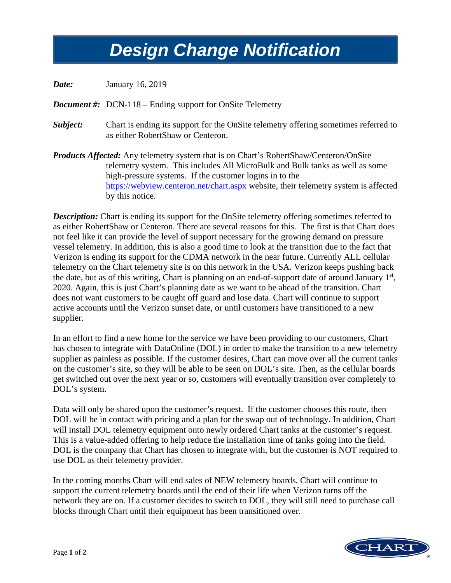## *Design Change Notification Design Change Notification*

*Date:* January 16, 2019

*Document #:* DCN-118 – Ending support for OnSite Telemetry

- *Subject:* Chart is ending its support for the OnSite telemetry offering sometimes referred to as either RobertShaw or Centeron.
- *Products Affected:* Any telemetry system that is on Chart's RobertShaw/Centeron/OnSite telemetry system. This includes All MicroBulk and Bulk tanks as well as some high-pressure systems. If the customer logins in to the <https://webview.centeron.net/chart.aspx> website, their telemetry system is affected by this notice.

**Description:** Chart is ending its support for the OnSite telemetry offering sometimes referred to as either RobertShaw or Centeron. There are several reasons for this. The first is that Chart does not feel like it can provide the level of support necessary for the growing demand on pressure vessel telemetry. In addition, this is also a good time to look at the transition due to the fact that Verizon is ending its support for the CDMA network in the near future. Currently ALL cellular telemetry on the Chart telemetry site is on this network in the USA. Verizon keeps pushing back the date, but as of this writing, Chart is planning on an end-of-support date of around January 1<sup>st</sup>, 2020. Again, this is just Chart's planning date as we want to be ahead of the transition. Chart does not want customers to be caught off guard and lose data. Chart will continue to support active accounts until the Verizon sunset date, or until customers have transitioned to a new supplier.

In an effort to find a new home for the service we have been providing to our customers, Chart has chosen to integrate with DataOnline (DOL) in order to make the transition to a new telemetry supplier as painless as possible. If the customer desires, Chart can move over all the current tanks on the customer's site, so they will be able to be seen on DOL's site. Then, as the cellular boards get switched out over the next year or so, customers will eventually transition over completely to DOL's system.

Data will only be shared upon the customer's request. If the customer chooses this route, then DOL will be in contact with pricing and a plan for the swap out of technology. In addition, Chart will install DOL telemetry equipment onto newly ordered Chart tanks at the customer's request. This is a value-added offering to help reduce the installation time of tanks going into the field. DOL is the company that Chart has chosen to integrate with, but the customer is NOT required to use DOL as their telemetry provider.

In the coming months Chart will end sales of NEW telemetry boards. Chart will continue to support the current telemetry boards until the end of their life when Verizon turns off the network they are on. If a customer decides to switch to DOL, they will still need to purchase call blocks through Chart until their equipment has been transitioned over.